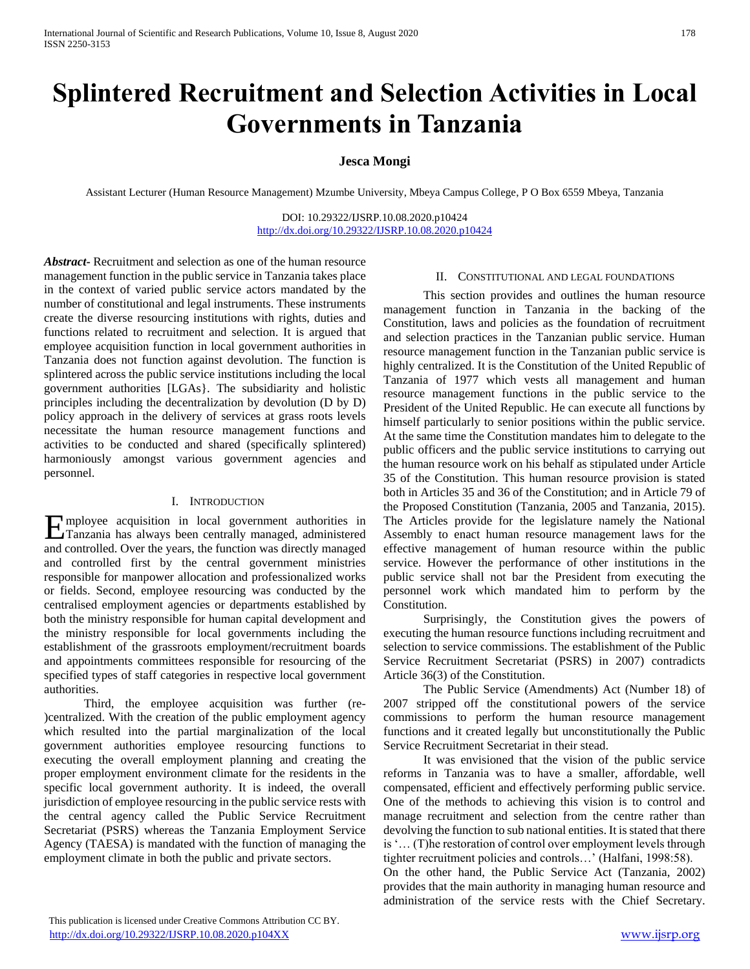# **Splintered Recruitment and Selection Activities in Local Governments in Tanzania**

## **Jesca Mongi**

Assistant Lecturer (Human Resource Management) Mzumbe University, Mbeya Campus College, P O Box 6559 Mbeya, Tanzania

DOI: 10.29322/IJSRP.10.08.2020.p10424 <http://dx.doi.org/10.29322/IJSRP.10.08.2020.p10424>

*Abstract***-** Recruitment and selection as one of the human resource management function in the public service in Tanzania takes place in the context of varied public service actors mandated by the number of constitutional and legal instruments. These instruments create the diverse resourcing institutions with rights, duties and functions related to recruitment and selection. It is argued that employee acquisition function in local government authorities in Tanzania does not function against devolution. The function is splintered across the public service institutions including the local government authorities [LGAs}. The subsidiarity and holistic principles including the decentralization by devolution (D by D) policy approach in the delivery of services at grass roots levels necessitate the human resource management functions and activities to be conducted and shared (specifically splintered) harmoniously amongst various government agencies and personnel.

## I. INTRODUCTION

mployee acquisition in local government authorities in Tanzania has always been centrally managed, administered Eand controlled. Over the years, the function was directly managed and controlled first by the central government ministries responsible for manpower allocation and professionalized works or fields. Second, employee resourcing was conducted by the centralised employment agencies or departments established by both the ministry responsible for human capital development and the ministry responsible for local governments including the establishment of the grassroots employment/recruitment boards and appointments committees responsible for resourcing of the specified types of staff categories in respective local government authorities.

 Third, the employee acquisition was further (re- )centralized. With the creation of the public employment agency which resulted into the partial marginalization of the local government authorities employee resourcing functions to executing the overall employment planning and creating the proper employment environment climate for the residents in the specific local government authority. It is indeed, the overall jurisdiction of employee resourcing in the public service rests with the central agency called the Public Service Recruitment Secretariat (PSRS) whereas the Tanzania Employment Service Agency (TAESA) is mandated with the function of managing the employment climate in both the public and private sectors.

## II. CONSTITUTIONAL AND LEGAL FOUNDATIONS

 This section provides and outlines the human resource management function in Tanzania in the backing of the Constitution, laws and policies as the foundation of recruitment and selection practices in the Tanzanian public service. Human resource management function in the Tanzanian public service is highly centralized. It is the Constitution of the United Republic of Tanzania of 1977 which vests all management and human resource management functions in the public service to the President of the United Republic. He can execute all functions by himself particularly to senior positions within the public service. At the same time the Constitution mandates him to delegate to the public officers and the public service institutions to carrying out the human resource work on his behalf as stipulated under Article 35 of the Constitution. This human resource provision is stated both in Articles 35 and 36 of the Constitution; and in Article 79 of the Proposed Constitution (Tanzania, 2005 and Tanzania, 2015). The Articles provide for the legislature namely the National Assembly to enact human resource management laws for the effective management of human resource within the public service. However the performance of other institutions in the public service shall not bar the President from executing the personnel work which mandated him to perform by the Constitution.

 Surprisingly, the Constitution gives the powers of executing the human resource functions including recruitment and selection to service commissions. The establishment of the Public Service Recruitment Secretariat (PSRS) in 2007) contradicts Article 36(3) of the Constitution.

 The Public Service (Amendments) Act (Number 18) of 2007 stripped off the constitutional powers of the service commissions to perform the human resource management functions and it created legally but unconstitutionally the Public Service Recruitment Secretariat in their stead.

 It was envisioned that the vision of the public service reforms in Tanzania was to have a smaller, affordable, well compensated, efficient and effectively performing public service. One of the methods to achieving this vision is to control and manage recruitment and selection from the centre rather than devolving the function to sub national entities. It is stated that there is '… (T)he restoration of control over employment levels through tighter recruitment policies and controls…' (Halfani, 1998:58).

On the other hand, the Public Service Act (Tanzania, 2002) provides that the main authority in managing human resource and administration of the service rests with the Chief Secretary.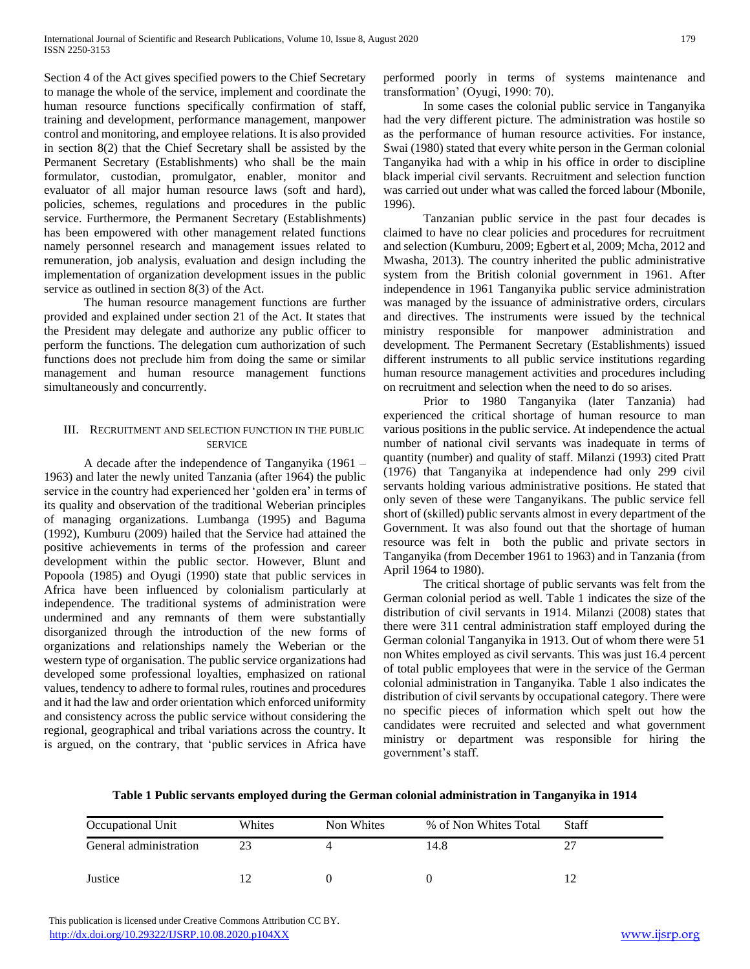Section 4 of the Act gives specified powers to the Chief Secretary to manage the whole of the service, implement and coordinate the human resource functions specifically confirmation of staff, training and development, performance management, manpower control and monitoring, and employee relations. It is also provided in section 8(2) that the Chief Secretary shall be assisted by the Permanent Secretary (Establishments) who shall be the main formulator, custodian, promulgator, enabler, monitor and evaluator of all major human resource laws (soft and hard), policies, schemes, regulations and procedures in the public service. Furthermore, the Permanent Secretary (Establishments) has been empowered with other management related functions namely personnel research and management issues related to remuneration, job analysis, evaluation and design including the implementation of organization development issues in the public service as outlined in section 8(3) of the Act.

 The human resource management functions are further provided and explained under section 21 of the Act. It states that the President may delegate and authorize any public officer to perform the functions. The delegation cum authorization of such functions does not preclude him from doing the same or similar management and human resource management functions simultaneously and concurrently.

## III. RECRUITMENT AND SELECTION FUNCTION IN THE PUBLIC **SERVICE**

 A decade after the independence of Tanganyika (1961 – 1963) and later the newly united Tanzania (after 1964) the public service in the country had experienced her 'golden era' in terms of its quality and observation of the traditional Weberian principles of managing organizations. Lumbanga (1995) and Baguma (1992), Kumburu (2009) hailed that the Service had attained the positive achievements in terms of the profession and career development within the public sector. However, Blunt and Popoola (1985) and Oyugi (1990) state that public services in Africa have been influenced by colonialism particularly at independence. The traditional systems of administration were undermined and any remnants of them were substantially disorganized through the introduction of the new forms of organizations and relationships namely the Weberian or the western type of organisation. The public service organizations had developed some professional loyalties, emphasized on rational values, tendency to adhere to formal rules, routines and procedures and it had the law and order orientation which enforced uniformity and consistency across the public service without considering the regional, geographical and tribal variations across the country. It is argued, on the contrary, that 'public services in Africa have performed poorly in terms of systems maintenance and transformation' (Oyugi, 1990: 70).

 In some cases the colonial public service in Tanganyika had the very different picture. The administration was hostile so as the performance of human resource activities. For instance, Swai (1980) stated that every white person in the German colonial Tanganyika had with a whip in his office in order to discipline black imperial civil servants. Recruitment and selection function was carried out under what was called the forced labour (Mbonile, 1996).

 Tanzanian public service in the past four decades is claimed to have no clear policies and procedures for recruitment and selection (Kumburu, 2009; Egbert et al, 2009; Mcha, 2012 and Mwasha, 2013). The country inherited the public administrative system from the British colonial government in 1961. After independence in 1961 Tanganyika public service administration was managed by the issuance of administrative orders, circulars and directives. The instruments were issued by the technical ministry responsible for manpower administration and development. The Permanent Secretary (Establishments) issued different instruments to all public service institutions regarding human resource management activities and procedures including on recruitment and selection when the need to do so arises.

 Prior to 1980 Tanganyika (later Tanzania) had experienced the critical shortage of human resource to man various positions in the public service. At independence the actual number of national civil servants was inadequate in terms of quantity (number) and quality of staff. Milanzi (1993) cited Pratt (1976) that Tanganyika at independence had only 299 civil servants holding various administrative positions. He stated that only seven of these were Tanganyikans. The public service fell short of (skilled) public servants almost in every department of the Government. It was also found out that the shortage of human resource was felt in both the public and private sectors in Tanganyika (from December 1961 to 1963) and in Tanzania (from April 1964 to 1980).

 The critical shortage of public servants was felt from the German colonial period as well. Table 1 indicates the size of the distribution of civil servants in 1914. Milanzi (2008) states that there were 311 central administration staff employed during the German colonial Tanganyika in 1913. Out of whom there were 51 non Whites employed as civil servants. This was just 16.4 percent of total public employees that were in the service of the German colonial administration in Tanganyika. Table 1 also indicates the distribution of civil servants by occupational category. There were no specific pieces of information which spelt out how the candidates were recruited and selected and what government ministry or department was responsible for hiring the government's staff.

**Table 1 Public servants employed during the German colonial administration in Tanganyika in 1914**

| Occupational Unit      | Whites | Non Whites | % of Non Whites Total | <b>Staff</b> |
|------------------------|--------|------------|-----------------------|--------------|
| General administration |        |            | 14.8                  |              |
| Justice                |        |            |                       |              |

 This publication is licensed under Creative Commons Attribution CC BY. <http://dx.doi.org/10.29322/IJSRP.10.08.2020.p104XX> [www.ijsrp.org](http://ijsrp.org/)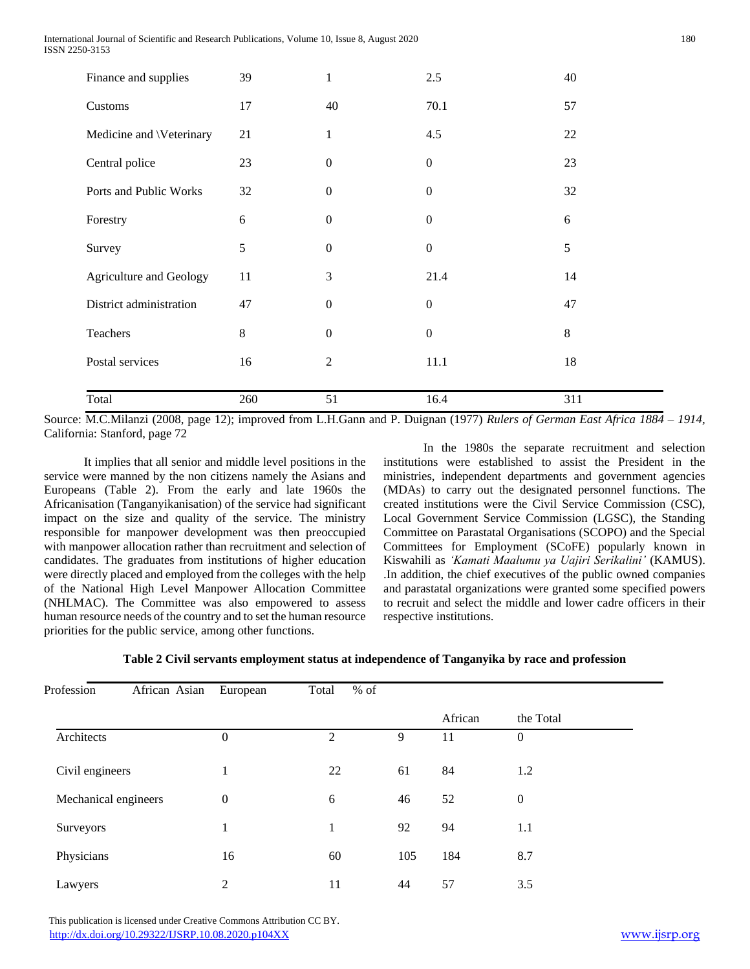| Finance and supplies     | 39            | 1                | 2.5              | 40    |
|--------------------------|---------------|------------------|------------------|-------|
| Customs                  | 17            | 40               | 70.1             | 57    |
| Medicine and \Veterinary | 21            | $\mathbf{1}$     | 4.5              | 22    |
| Central police           | 23            | $\mathbf{0}$     | $\overline{0}$   | 23    |
| Ports and Public Works   | 32            | $\boldsymbol{0}$ | $\overline{0}$   | 32    |
| Forestry                 | 6             | $\boldsymbol{0}$ | $\overline{0}$   | 6     |
| Survey                   | $\mathfrak s$ | $\boldsymbol{0}$ | $\overline{0}$   | 5     |
| Agriculture and Geology  | 11            | 3                | 21.4             | 14    |
| District administration  | 47            | $\mathbf{0}$     | $\overline{0}$   | 47    |
| Teachers                 | $\,8\,$       | $\boldsymbol{0}$ | $\boldsymbol{0}$ | $8\,$ |
| Postal services          | 16            | $\overline{2}$   | 11.1             | 18    |
| Total                    | 260           | 51               | 16.4             | 311   |

Source: M.C.Milanzi (2008, page 12); improved from L.H.Gann and P. Duignan (1977) *Rulers of German East Africa 1884 – 1914,*  California: Stanford, page 72

 It implies that all senior and middle level positions in the service were manned by the non citizens namely the Asians and Europeans (Table 2). From the early and late 1960s the Africanisation (Tanganyikanisation) of the service had significant impact on the size and quality of the service. The ministry responsible for manpower development was then preoccupied with manpower allocation rather than recruitment and selection of candidates. The graduates from institutions of higher education were directly placed and employed from the colleges with the help of the National High Level Manpower Allocation Committee (NHLMAC). The Committee was also empowered to assess human resource needs of the country and to set the human resource priorities for the public service, among other functions.

 In the 1980s the separate recruitment and selection institutions were established to assist the President in the ministries, independent departments and government agencies (MDAs) to carry out the designated personnel functions. The created institutions were the Civil Service Commission (CSC), Local Government Service Commission (LGSC), the Standing Committee on Parastatal Organisations (SCOPO) and the Special Committees for Employment (SCoFE) popularly known in Kiswahili as *'Kamati Maalumu ya Uajiri Serikalini'* (KAMUS). .In addition, the chief executives of the public owned companies and parastatal organizations were granted some specified powers to recruit and select the middle and lower cadre officers in their respective institutions.

| Profession           | African Asian | European         | $%$ of<br>Total |     |         |                  |  |
|----------------------|---------------|------------------|-----------------|-----|---------|------------------|--|
|                      |               |                  |                 |     | African | the Total        |  |
| Architects           |               | $\boldsymbol{0}$ | $\overline{2}$  | 9   | 11      | $\mathbf{0}$     |  |
| Civil engineers      |               | 1                | 22              | 61  | 84      | 1.2              |  |
| Mechanical engineers |               | $\boldsymbol{0}$ | 6               | 46  | 52      | $\boldsymbol{0}$ |  |
| Surveyors            |               | 1                | 1               | 92  | 94      | 1.1              |  |
| Physicians           |               | 16               | 60              | 105 | 184     | 8.7              |  |
| Lawyers              |               | 2                | 11              | 44  | 57      | 3.5              |  |

| Table 2 Civil servants employment status at independence of Tanganyika by race and profession |  |  |  |
|-----------------------------------------------------------------------------------------------|--|--|--|
|-----------------------------------------------------------------------------------------------|--|--|--|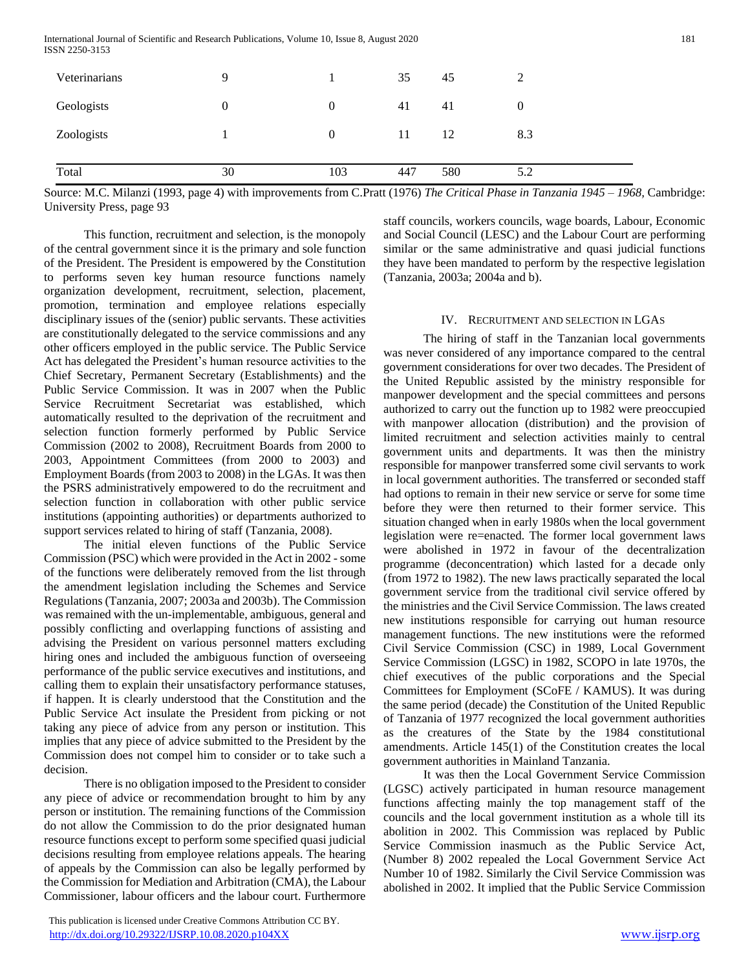| Veterinarians | 9        |                | 35  | 45  | 2   |
|---------------|----------|----------------|-----|-----|-----|
| Geologists    | $\theta$ | $\overline{0}$ | 41  | 41  | 0   |
| Zoologists    |          | $\overline{0}$ | 11  | 12  | 8.3 |
| Total         | 30       | 103            | 447 | 580 | 5.2 |

Source: M.C. Milanzi (1993, page 4) with improvements from C.Pratt (1976) *The Critical Phase in Tanzania 1945 – 1968,* Cambridge: University Press, page 93

 This function, recruitment and selection, is the monopoly of the central government since it is the primary and sole function of the President. The President is empowered by the Constitution to performs seven key human resource functions namely organization development, recruitment, selection, placement, promotion, termination and employee relations especially disciplinary issues of the (senior) public servants. These activities are constitutionally delegated to the service commissions and any other officers employed in the public service. The Public Service Act has delegated the President's human resource activities to the Chief Secretary, Permanent Secretary (Establishments) and the Public Service Commission. It was in 2007 when the Public Service Recruitment Secretariat was established, which automatically resulted to the deprivation of the recruitment and selection function formerly performed by Public Service Commission (2002 to 2008), Recruitment Boards from 2000 to 2003, Appointment Committees (from 2000 to 2003) and Employment Boards (from 2003 to 2008) in the LGAs. It was then the PSRS administratively empowered to do the recruitment and selection function in collaboration with other public service institutions (appointing authorities) or departments authorized to support services related to hiring of staff (Tanzania, 2008).

 The initial eleven functions of the Public Service Commission (PSC) which were provided in the Act in 2002 - some of the functions were deliberately removed from the list through the amendment legislation including the Schemes and Service Regulations (Tanzania, 2007; 2003a and 2003b). The Commission was remained with the un-implementable, ambiguous, general and possibly conflicting and overlapping functions of assisting and advising the President on various personnel matters excluding hiring ones and included the ambiguous function of overseeing performance of the public service executives and institutions, and calling them to explain their unsatisfactory performance statuses, if happen. It is clearly understood that the Constitution and the Public Service Act insulate the President from picking or not taking any piece of advice from any person or institution. This implies that any piece of advice submitted to the President by the Commission does not compel him to consider or to take such a decision.

 There is no obligation imposed to the President to consider any piece of advice or recommendation brought to him by any person or institution. The remaining functions of the Commission do not allow the Commission to do the prior designated human resource functions except to perform some specified quasi judicial decisions resulting from employee relations appeals. The hearing of appeals by the Commission can also be legally performed by the Commission for Mediation and Arbitration (CMA), the Labour Commissioner, labour officers and the labour court. Furthermore

 This publication is licensed under Creative Commons Attribution CC BY. <http://dx.doi.org/10.29322/IJSRP.10.08.2020.p104XX> [www.ijsrp.org](http://ijsrp.org/)

staff councils, workers councils, wage boards, Labour, Economic and Social Council (LESC) and the Labour Court are performing similar or the same administrative and quasi judicial functions they have been mandated to perform by the respective legislation (Tanzania, 2003a; 2004a and b).

## IV. RECRUITMENT AND SELECTION IN LGAS

 The hiring of staff in the Tanzanian local governments was never considered of any importance compared to the central government considerations for over two decades. The President of the United Republic assisted by the ministry responsible for manpower development and the special committees and persons authorized to carry out the function up to 1982 were preoccupied with manpower allocation (distribution) and the provision of limited recruitment and selection activities mainly to central government units and departments. It was then the ministry responsible for manpower transferred some civil servants to work in local government authorities. The transferred or seconded staff had options to remain in their new service or serve for some time before they were then returned to their former service. This situation changed when in early 1980s when the local government legislation were re=enacted. The former local government laws were abolished in 1972 in favour of the decentralization programme (deconcentration) which lasted for a decade only (from 1972 to 1982). The new laws practically separated the local government service from the traditional civil service offered by the ministries and the Civil Service Commission. The laws created new institutions responsible for carrying out human resource management functions. The new institutions were the reformed Civil Service Commission (CSC) in 1989, Local Government Service Commission (LGSC) in 1982, SCOPO in late 1970s, the chief executives of the public corporations and the Special Committees for Employment (SCoFE / KAMUS). It was during the same period (decade) the Constitution of the United Republic of Tanzania of 1977 recognized the local government authorities as the creatures of the State by the 1984 constitutional amendments. Article 145(1) of the Constitution creates the local government authorities in Mainland Tanzania.

 It was then the Local Government Service Commission (LGSC) actively participated in human resource management functions affecting mainly the top management staff of the councils and the local government institution as a whole till its abolition in 2002. This Commission was replaced by Public Service Commission inasmuch as the Public Service Act, (Number 8) 2002 repealed the Local Government Service Act Number 10 of 1982. Similarly the Civil Service Commission was abolished in 2002. It implied that the Public Service Commission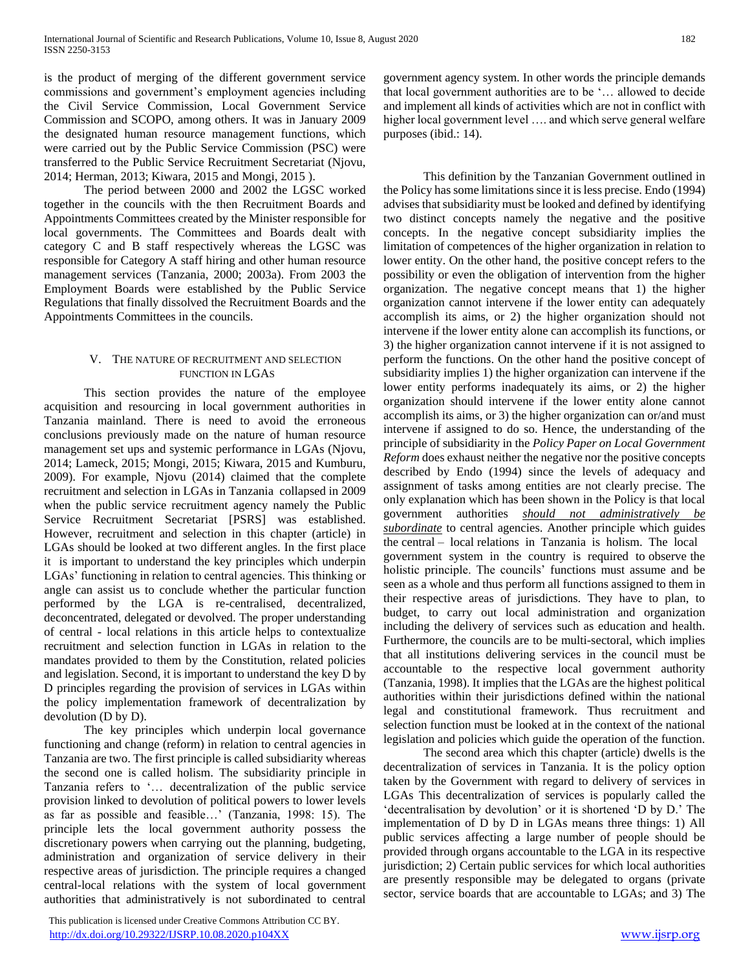is the product of merging of the different government service commissions and government's employment agencies including the Civil Service Commission, Local Government Service Commission and SCOPO, among others. It was in January 2009 the designated human resource management functions, which were carried out by the Public Service Commission (PSC) were transferred to the Public Service Recruitment Secretariat (Njovu, 2014; Herman, 2013; Kiwara, 2015 and Mongi, 2015 ).

 The period between 2000 and 2002 the LGSC worked together in the councils with the then Recruitment Boards and Appointments Committees created by the Minister responsible for local governments. The Committees and Boards dealt with category C and B staff respectively whereas the LGSC was responsible for Category A staff hiring and other human resource management services (Tanzania, 2000; 2003a). From 2003 the Employment Boards were established by the Public Service Regulations that finally dissolved the Recruitment Boards and the Appointments Committees in the councils.

## V. THE NATURE OF RECRUITMENT AND SELECTION FUNCTION IN LGAS

 This section provides the nature of the employee acquisition and resourcing in local government authorities in Tanzania mainland. There is need to avoid the erroneous conclusions previously made on the nature of human resource management set ups and systemic performance in LGAs (Njovu, 2014; Lameck, 2015; Mongi, 2015; Kiwara, 2015 and Kumburu, 2009). For example, Njovu (2014) claimed that the complete recruitment and selection in LGAs in Tanzania collapsed in 2009 when the public service recruitment agency namely the Public Service Recruitment Secretariat [PSRS] was established. However, recruitment and selection in this chapter (article) in LGAs should be looked at two different angles. In the first place it is important to understand the key principles which underpin LGAs' functioning in relation to central agencies. This thinking or angle can assist us to conclude whether the particular function performed by the LGA is re-centralised, decentralized, deconcentrated, delegated or devolved. The proper understanding of central - local relations in this article helps to contextualize recruitment and selection function in LGAs in relation to the mandates provided to them by the Constitution, related policies and legislation. Second, it is important to understand the key D by D principles regarding the provision of services in LGAs within the policy implementation framework of decentralization by devolution (D by D).

 The key principles which underpin local governance functioning and change (reform) in relation to central agencies in Tanzania are two. The first principle is called subsidiarity whereas the second one is called holism. The subsidiarity principle in Tanzania refers to '… decentralization of the public service provision linked to devolution of political powers to lower levels as far as possible and feasible…' (Tanzania, 1998: 15). The principle lets the local government authority possess the discretionary powers when carrying out the planning, budgeting, administration and organization of service delivery in their respective areas of jurisdiction. The principle requires a changed central-local relations with the system of local government authorities that administratively is not subordinated to central

 This publication is licensed under Creative Commons Attribution CC BY. <http://dx.doi.org/10.29322/IJSRP.10.08.2020.p104XX> [www.ijsrp.org](http://ijsrp.org/)

government agency system. In other words the principle demands that local government authorities are to be '… allowed to decide and implement all kinds of activities which are not in conflict with higher local government level .... and which serve general welfare purposes (ibid.: 14).

 This definition by the Tanzanian Government outlined in the Policy has some limitations since it is less precise. Endo (1994) advises that subsidiarity must be looked and defined by identifying two distinct concepts namely the negative and the positive concepts. In the negative concept subsidiarity implies the limitation of competences of the higher organization in relation to lower entity. On the other hand, the positive concept refers to the possibility or even the obligation of intervention from the higher organization. The negative concept means that 1) the higher organization cannot intervene if the lower entity can adequately accomplish its aims, or 2) the higher organization should not intervene if the lower entity alone can accomplish its functions, or 3) the higher organization cannot intervene if it is not assigned to perform the functions. On the other hand the positive concept of subsidiarity implies 1) the higher organization can intervene if the lower entity performs inadequately its aims, or 2) the higher organization should intervene if the lower entity alone cannot accomplish its aims, or 3) the higher organization can or/and must intervene if assigned to do so. Hence, the understanding of the principle of subsidiarity in the *Policy Paper on Local Government Reform* does exhaust neither the negative nor the positive concepts described by Endo (1994) since the levels of adequacy and assignment of tasks among entities are not clearly precise. The only explanation which has been shown in the Policy is that local government authorities *should not administratively be subordinate* to central agencies. Another principle which guides the central – local relations in Tanzania is holism. The local government system in the country is required to observe the holistic principle. The councils' functions must assume and be seen as a whole and thus perform all functions assigned to them in their respective areas of jurisdictions. They have to plan, to budget, to carry out local administration and organization including the delivery of services such as education and health. Furthermore, the councils are to be multi-sectoral, which implies that all institutions delivering services in the council must be accountable to the respective local government authority (Tanzania, 1998). It implies that the LGAs are the highest political authorities within their jurisdictions defined within the national legal and constitutional framework. Thus recruitment and selection function must be looked at in the context of the national legislation and policies which guide the operation of the function.

 The second area which this chapter (article) dwells is the decentralization of services in Tanzania. It is the policy option taken by the Government with regard to delivery of services in LGAs This decentralization of services is popularly called the 'decentralisation by devolution' or it is shortened 'D by D.' The implementation of D by D in LGAs means three things: 1) All public services affecting a large number of people should be provided through organs accountable to the LGA in its respective jurisdiction; 2) Certain public services for which local authorities are presently responsible may be delegated to organs (private sector, service boards that are accountable to LGAs; and 3) The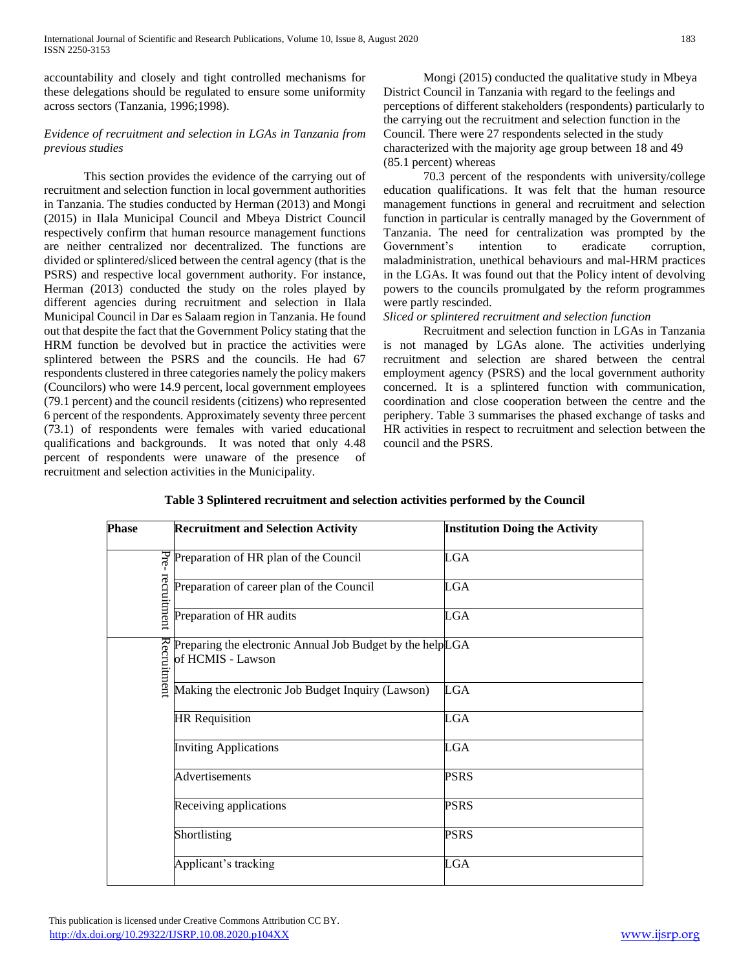International Journal of Scientific and Research Publications, Volume 10, Issue 8, August 2020 183 ISSN 2250-3153

accountability and closely and tight controlled mechanisms for these delegations should be regulated to ensure some uniformity across sectors (Tanzania, 1996;1998).

## *Evidence of recruitment and selection in LGAs in Tanzania from previous studies*

 This section provides the evidence of the carrying out of recruitment and selection function in local government authorities in Tanzania. The studies conducted by Herman (2013) and Mongi (2015) in Ilala Municipal Council and Mbeya District Council respectively confirm that human resource management functions are neither centralized nor decentralized. The functions are divided or splintered/sliced between the central agency (that is the PSRS) and respective local government authority. For instance, Herman (2013) conducted the study on the roles played by different agencies during recruitment and selection in Ilala Municipal Council in Dar es Salaam region in Tanzania. He found out that despite the fact that the Government Policy stating that the HRM function be devolved but in practice the activities were splintered between the PSRS and the councils. He had 67 respondents clustered in three categories namely the policy makers (Councilors) who were 14.9 percent, local government employees (79.1 percent) and the council residents (citizens) who represented 6 percent of the respondents. Approximately seventy three percent (73.1) of respondents were females with varied educational qualifications and backgrounds. It was noted that only 4.48 percent of respondents were unaware of the presence of recruitment and selection activities in the Municipality.

 Mongi (2015) conducted the qualitative study in Mbeya District Council in Tanzania with regard to the feelings and perceptions of different stakeholders (respondents) particularly to the carrying out the recruitment and selection function in the Council. There were 27 respondents selected in the study characterized with the majority age group between 18 and 49 (85.1 percent) whereas

 70.3 percent of the respondents with university/college education qualifications. It was felt that the human resource management functions in general and recruitment and selection function in particular is centrally managed by the Government of Tanzania. The need for centralization was prompted by the Government's intention to eradicate corruption, maladministration, unethical behaviours and mal-HRM practices in the LGAs. It was found out that the Policy intent of devolving powers to the councils promulgated by the reform programmes were partly rescinded.

## *Sliced or splintered recruitment and selection function*

 Recruitment and selection function in LGAs in Tanzania is not managed by LGAs alone. The activities underlying recruitment and selection are shared between the central employment agency (PSRS) and the local government authority concerned. It is a splintered function with communication, coordination and close cooperation between the centre and the periphery. Table 3 summarises the phased exchange of tasks and HR activities in respect to recruitment and selection between the council and the PSRS.

| <b>Phase</b> | <b>Recruitment and Selection Activity</b>                                      | <b>Institution Doing the Activity</b> |
|--------------|--------------------------------------------------------------------------------|---------------------------------------|
|              | $\frac{1}{6}$ Preparation of HR plan of the Council                            | <b>LGA</b>                            |
| recruitment  | Preparation of career plan of the Council                                      | <b>LGA</b>                            |
|              | Preparation of HR audits                                                       | <b>LGA</b>                            |
| Recruitment  | Preparing the electronic Annual Job Budget by the helpLGA<br>of HCMIS - Lawson |                                       |
|              | Making the electronic Job Budget Inquiry (Lawson)                              | <b>LGA</b>                            |
|              | <b>HR</b> Requisition                                                          | <b>LGA</b>                            |
|              | <b>Inviting Applications</b>                                                   | <b>LGA</b>                            |
|              | Advertisements                                                                 | <b>PSRS</b>                           |
|              | Receiving applications                                                         | <b>PSRS</b>                           |
|              | Shortlisting                                                                   | <b>PSRS</b>                           |
|              | Applicant's tracking                                                           | <b>LGA</b>                            |

**Table 3 Splintered recruitment and selection activities performed by the Council**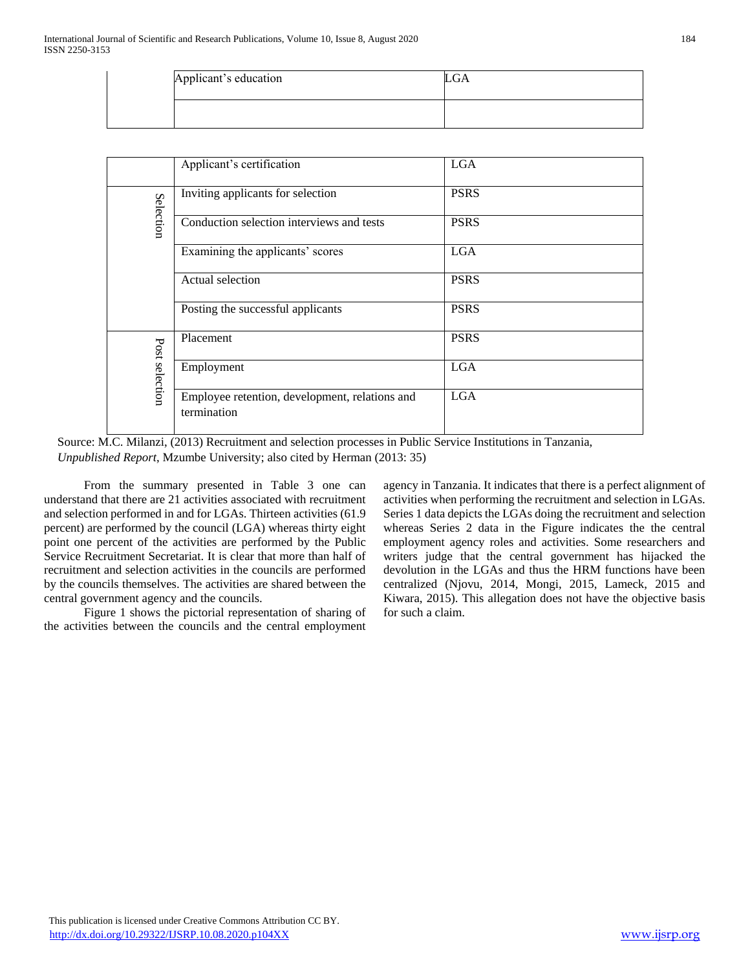| Applicant's education |  |
|-----------------------|--|
|                       |  |

|                | Applicant's certification                                     | <b>LGA</b>  |
|----------------|---------------------------------------------------------------|-------------|
|                | Inviting applicants for selection                             | <b>PSRS</b> |
| Selection      | Conduction selection interviews and tests                     | <b>PSRS</b> |
|                | Examining the applicants' scores                              | <b>LGA</b>  |
|                | Actual selection                                              | <b>PSRS</b> |
|                | Posting the successful applicants                             | <b>PSRS</b> |
|                | Placement                                                     | <b>PSRS</b> |
| Post selection | Employment                                                    | <b>LGA</b>  |
|                | Employee retention, development, relations and<br>termination | <b>LGA</b>  |
|                |                                                               |             |

Source: M.C. Milanzi, (2013) Recruitment and selection processes in Public Service Institutions in Tanzania, *Unpublished Report*, Mzumbe University; also cited by Herman (2013: 35)

 From the summary presented in Table 3 one can understand that there are 21 activities associated with recruitment and selection performed in and for LGAs. Thirteen activities (61.9 percent) are performed by the council (LGA) whereas thirty eight point one percent of the activities are performed by the Public Service Recruitment Secretariat. It is clear that more than half of recruitment and selection activities in the councils are performed by the councils themselves. The activities are shared between the central government agency and the councils.

 Figure 1 shows the pictorial representation of sharing of the activities between the councils and the central employment agency in Tanzania. It indicates that there is a perfect alignment of activities when performing the recruitment and selection in LGAs. Series 1 data depicts the LGAs doing the recruitment and selection whereas Series 2 data in the Figure indicates the the central employment agency roles and activities. Some researchers and writers judge that the central government has hijacked the devolution in the LGAs and thus the HRM functions have been centralized (Njovu, 2014, Mongi, 2015, Lameck, 2015 and Kiwara, 2015). This allegation does not have the objective basis for such a claim.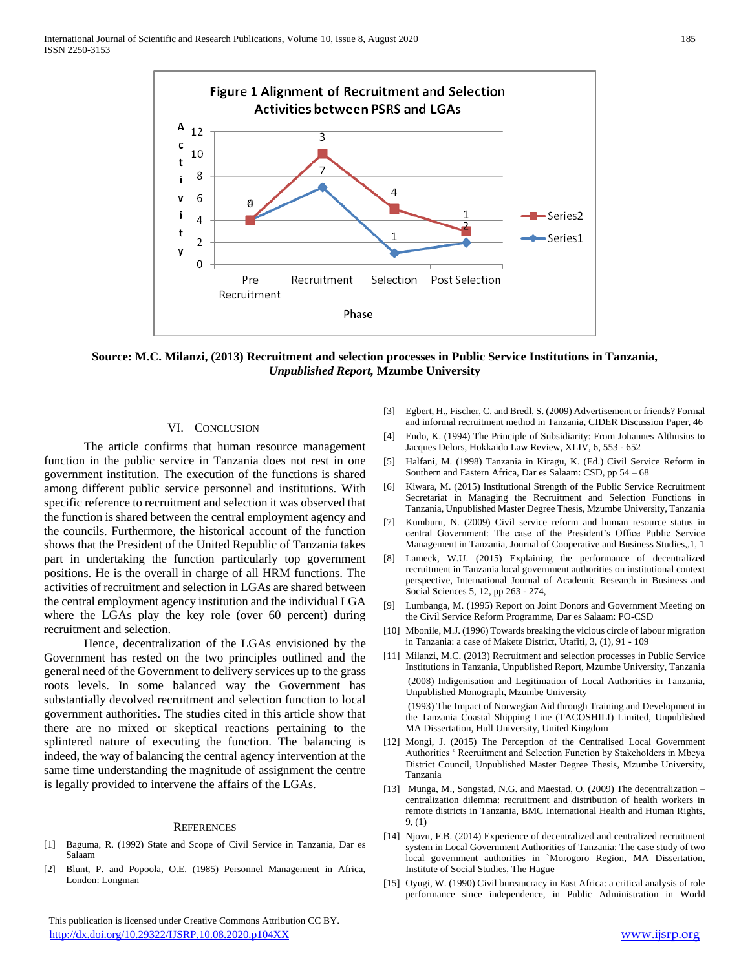

**Source: M.C. Milanzi, (2013) Recruitment and selection processes in Public Service Institutions in Tanzania,** *Unpublished Report,* **Mzumbe University**

## VI. CONCLUSION

 The article confirms that human resource management function in the public service in Tanzania does not rest in one government institution. The execution of the functions is shared among different public service personnel and institutions. With specific reference to recruitment and selection it was observed that the function is shared between the central employment agency and the councils. Furthermore, the historical account of the function shows that the President of the United Republic of Tanzania takes part in undertaking the function particularly top government positions. He is the overall in charge of all HRM functions. The activities of recruitment and selection in LGAs are shared between the central employment agency institution and the individual LGA where the LGAs play the key role (over 60 percent) during recruitment and selection.

 Hence, decentralization of the LGAs envisioned by the Government has rested on the two principles outlined and the general need of the Government to delivery services up to the grass roots levels. In some balanced way the Government has substantially devolved recruitment and selection function to local government authorities. The studies cited in this article show that there are no mixed or skeptical reactions pertaining to the splintered nature of executing the function. The balancing is indeed, the way of balancing the central agency intervention at the same time understanding the magnitude of assignment the centre is legally provided to intervene the affairs of the LGAs.

#### **REFERENCES**

- [1] Baguma, R. (1992) State and Scope of Civil Service in Tanzania, Dar es Salaam
- [2] Blunt, P. and Popoola, O.E. (1985) Personnel Management in Africa, London: Longman

 This publication is licensed under Creative Commons Attribution CC BY. <http://dx.doi.org/10.29322/IJSRP.10.08.2020.p104XX> [www.ijsrp.org](http://ijsrp.org/)

- [3] Egbert, H., Fischer, C. and Bredl, S. (2009) Advertisement or friends? Formal and informal recruitment method in Tanzania, CIDER Discussion Paper, 46
- [4] Endo, K. (1994) The Principle of Subsidiarity: From Johannes Althusius to Jacques Delors, Hokkaido Law Review, XLIV, 6, 553 - 652
- [5] Halfani, M. (1998) Tanzania in Kiragu, K. (Ed.) Civil Service Reform in Southern and Eastern Africa, Dar es Salaam: CSD, pp 54 – 68
- [6] Kiwara, M. (2015) Institutional Strength of the Public Service Recruitment Secretariat in Managing the Recruitment and Selection Functions in Tanzania, Unpublished Master Degree Thesis, Mzumbe University, Tanzania
- [7] Kumburu, N. (2009) Civil service reform and human resource status in central Government: The case of the President's Office Public Service Management in Tanzania, Journal of Cooperative and Business Studies,,1, 1
- [8] Lameck, W.U. (2015) Explaining the performance of decentralized recruitment in Tanzania local government authorities on institutional context perspective, International Journal of Academic Research in Business and Social Sciences 5, 12, pp 263 - 274,
- [9] Lumbanga, M. (1995) Report on Joint Donors and Government Meeting on the Civil Service Reform Programme, Dar es Salaam: PO-CSD
- [10] Mbonile, M.J. (1996) Towards breaking the vicious circle of labour migration in Tanzania: a case of Makete District, Utafiti, 3, (1), 91 - 109
- [11] Milanzi, M.C. (2013) Recruitment and selection processes in Public Service Institutions in Tanzania, Unpublished Report, Mzumbe University, Tanzania (2008) Indigenisation and Legitimation of Local Authorities in Tanzania, Unpublished Monograph, Mzumbe University (1993) The Impact of Norwegian Aid through Training and Development in the Tanzania Coastal Shipping Line (TACOSHILI) Limited, Unpublished MA Dissertation, Hull University, United Kingdom
- [12] Mongi, J. (2015) The Perception of the Centralised Local Government Authorities ' Recruitment and Selection Function by Stakeholders in Mbeya District Council, Unpublished Master Degree Thesis, Mzumbe University, Tanzania
- [13] Munga, M., Songstad, N.G. and Maestad, O. (2009) The decentralization centralization dilemma: recruitment and distribution of health workers in remote districts in Tanzania, BMC International Health and Human Rights, 9, (1)
- [14] Njovu, F.B. (2014) Experience of decentralized and centralized recruitment system in Local Government Authorities of Tanzania: The case study of two local government authorities in `Morogoro Region, MA Dissertation, Institute of Social Studies, The Hague
- [15] Oyugi, W. (1990) Civil bureaucracy in East Africa: a critical analysis of role performance since independence, in Public Administration in World